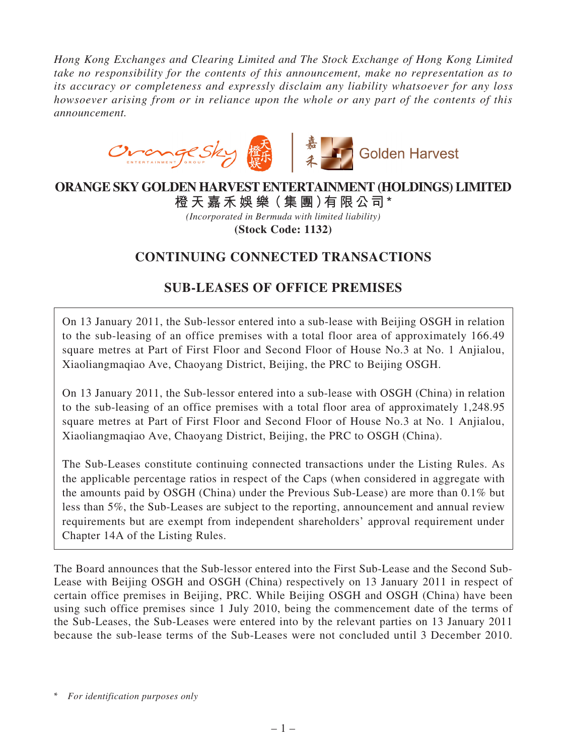*Hong Kong Exchanges and Clearing Limited and The Stock Exchange of Hong Kong Limited take no responsibility for the contents of this announcement, make no representation as to its accuracy or completeness and expressly disclaim any liability whatsoever for any loss howsoever arising from or in reliance upon the whole or any part of the contents of this announcement.*



### **ORANGE SKY GOLDEN HARVEST ENTERTAINMENT (HOLDINGS) LIMITED 橙 天 嘉禾娛 樂(集 團)有限公司\***

*(Incorporated in Bermuda with limited liability)* **(Stock Code: 1132)**

# **CONTINUING CONNECTED TRANSACTIONS**

# **SUB-LEASES OF OFFICE PREMISES**

On 13 January 2011, the Sub-lessor entered into a sub-lease with Beijing OSGH in relation to the sub-leasing of an office premises with a total floor area of approximately 166.49 square metres at Part of First Floor and Second Floor of House No.3 at No. 1 Anjialou, Xiaoliangmaqiao Ave, Chaoyang District, Beijing, the PRC to Beijing OSGH.

On 13 January 2011, the Sub-lessor entered into a sub-lease with OSGH (China) in relation to the sub-leasing of an office premises with a total floor area of approximately 1,248.95 square metres at Part of First Floor and Second Floor of House No.3 at No. 1 Anjialou, Xiaoliangmaqiao Ave, Chaoyang District, Beijing, the PRC to OSGH (China).

The Sub-Leases constitute continuing connected transactions under the Listing Rules. As the applicable percentage ratios in respect of the Caps (when considered in aggregate with the amounts paid by OSGH (China) under the Previous Sub-Lease) are more than 0.1% but less than 5%, the Sub-Leases are subject to the reporting, announcement and annual review requirements but are exempt from independent shareholders' approval requirement under Chapter 14A of the Listing Rules.

The Board announces that the Sub-lessor entered into the First Sub-Lease and the Second Sub-Lease with Beijing OSGH and OSGH (China) respectively on 13 January 2011 in respect of certain office premises in Beijing, PRC. While Beijing OSGH and OSGH (China) have been using such office premises since 1 July 2010, being the commencement date of the terms of the Sub-Leases, the Sub-Leases were entered into by the relevant parties on 13 January 2011 because the sub-lease terms of the Sub-Leases were not concluded until 3 December 2010.

\* *For identification purposes only*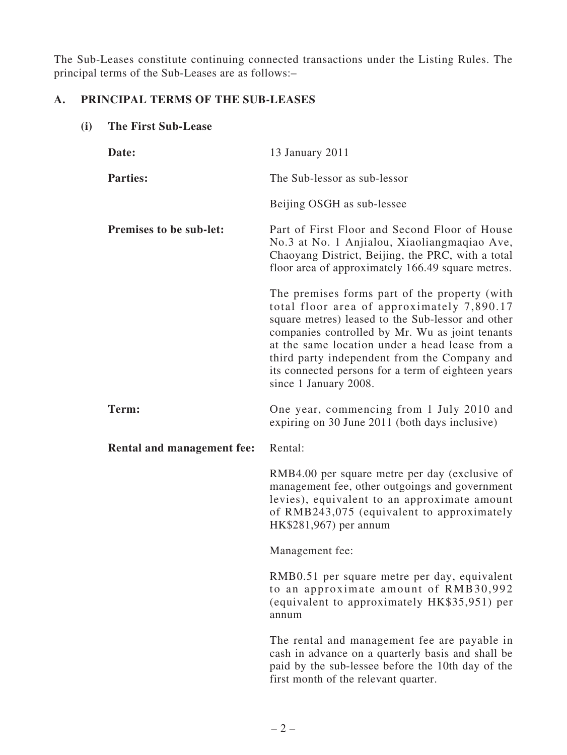The Sub-Leases constitute continuing connected transactions under the Listing Rules. The principal terms of the Sub-Leases are as follows:–

### **A. PRINCIPAL TERMS OF THE SUB-LEASES**

**(i) The First Sub-Lease**

| Date:                             | 13 January 2011                                                                                                                                                                                                                                                                                                                                                                      |
|-----------------------------------|--------------------------------------------------------------------------------------------------------------------------------------------------------------------------------------------------------------------------------------------------------------------------------------------------------------------------------------------------------------------------------------|
| <b>Parties:</b>                   | The Sub-lessor as sub-lessor                                                                                                                                                                                                                                                                                                                                                         |
|                                   | Beijing OSGH as sub-lessee                                                                                                                                                                                                                                                                                                                                                           |
| <b>Premises to be sub-let:</b>    | Part of First Floor and Second Floor of House<br>No.3 at No. 1 Anjialou, Xiaoliangmaqiao Ave,<br>Chaoyang District, Beijing, the PRC, with a total<br>floor area of approximately 166.49 square metres.                                                                                                                                                                              |
|                                   | The premises forms part of the property (with<br>total floor area of approximately 7,890.17<br>square metres) leased to the Sub-lessor and other<br>companies controlled by Mr. Wu as joint tenants<br>at the same location under a head lease from a<br>third party independent from the Company and<br>its connected persons for a term of eighteen years<br>since 1 January 2008. |
| Term:                             | One year, commencing from 1 July 2010 and<br>expiring on 30 June 2011 (both days inclusive)                                                                                                                                                                                                                                                                                          |
| <b>Rental and management fee:</b> | Rental:                                                                                                                                                                                                                                                                                                                                                                              |
|                                   | RMB4.00 per square metre per day (exclusive of<br>management fee, other outgoings and government<br>levies), equivalent to an approximate amount<br>of RMB243,075 (equivalent to approximately<br>HK\$281,967) per annum                                                                                                                                                             |
|                                   | Management fee:                                                                                                                                                                                                                                                                                                                                                                      |
|                                   | RMB0.51 per square metre per day, equivalent<br>to an approximate amount of RMB30,992<br>(equivalent to approximately HK\$35,951) per<br>annum                                                                                                                                                                                                                                       |
|                                   | The rental and management fee are payable in<br>cash in advance on a quarterly basis and shall be<br>paid by the sub-lessee before the 10th day of the<br>first month of the relevant quarter.                                                                                                                                                                                       |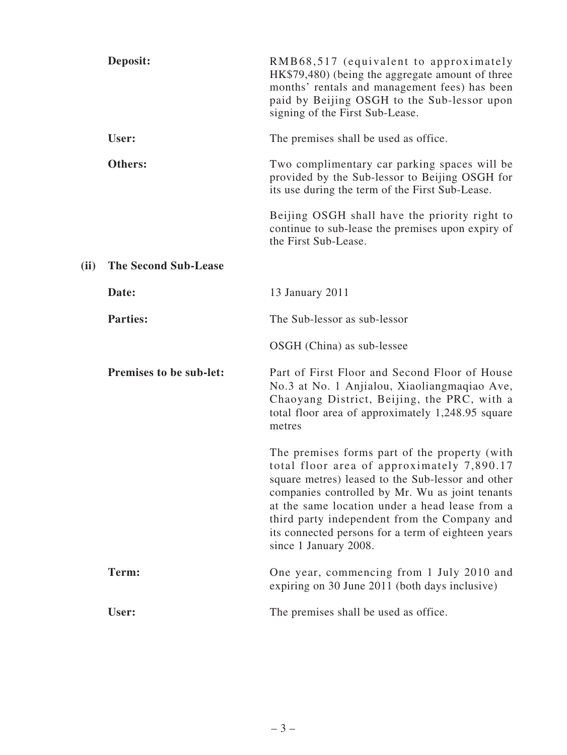|      | Deposit:                    | RMB68,517 (equivalent to approximately<br>HK\$79,480) (being the aggregate amount of three<br>months' rentals and management fees) has been<br>paid by Beijing OSGH to the Sub-lessor upon<br>signing of the First Sub-Lease.                                                                                                                                                        |
|------|-----------------------------|--------------------------------------------------------------------------------------------------------------------------------------------------------------------------------------------------------------------------------------------------------------------------------------------------------------------------------------------------------------------------------------|
|      | User:                       | The premises shall be used as office.                                                                                                                                                                                                                                                                                                                                                |
|      | Others:                     | Two complimentary car parking spaces will be<br>provided by the Sub-lessor to Beijing OSGH for<br>its use during the term of the First Sub-Lease.                                                                                                                                                                                                                                    |
|      |                             | Beijing OSGH shall have the priority right to<br>continue to sub-lease the premises upon expiry of<br>the First Sub-Lease.                                                                                                                                                                                                                                                           |
| (ii) | <b>The Second Sub-Lease</b> |                                                                                                                                                                                                                                                                                                                                                                                      |
|      | Date:                       | 13 January 2011                                                                                                                                                                                                                                                                                                                                                                      |
|      | <b>Parties:</b>             | The Sub-lessor as sub-lessor                                                                                                                                                                                                                                                                                                                                                         |
|      |                             | OSGH (China) as sub-lessee                                                                                                                                                                                                                                                                                                                                                           |
|      | Premises to be sub-let:     | Part of First Floor and Second Floor of House<br>No.3 at No. 1 Anjialou, Xiaoliangmaqiao Ave,<br>Chaoyang District, Beijing, the PRC, with a<br>total floor area of approximately 1,248.95 square<br>metres                                                                                                                                                                          |
|      |                             | The premises forms part of the property (with<br>total floor area of approximately 7,890.17<br>square metres) leased to the Sub-lessor and other<br>companies controlled by Mr. Wu as joint tenants<br>at the same location under a head lease from a<br>third party independent from the Company and<br>its connected persons for a term of eighteen years<br>since 1 January 2008. |
|      | Term:                       | One year, commencing from 1 July 2010 and<br>expiring on 30 June 2011 (both days inclusive)                                                                                                                                                                                                                                                                                          |
|      | User:                       | The premises shall be used as office.                                                                                                                                                                                                                                                                                                                                                |
|      |                             |                                                                                                                                                                                                                                                                                                                                                                                      |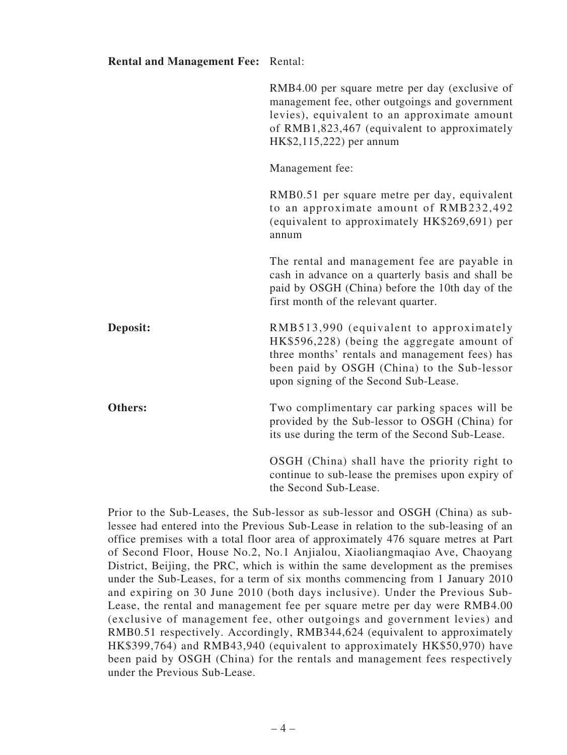| <b>Rental and Management Fee: Rental:</b> |                                                                                                                                                                                                                                  |
|-------------------------------------------|----------------------------------------------------------------------------------------------------------------------------------------------------------------------------------------------------------------------------------|
|                                           | RMB4.00 per square metre per day (exclusive of<br>management fee, other outgoings and government<br>levies), equivalent to an approximate amount<br>of RMB1,823,467 (equivalent to approximately<br>HK\$2,115,222) per annum     |
|                                           | Management fee:                                                                                                                                                                                                                  |
|                                           | RMB0.51 per square metre per day, equivalent<br>to an approximate amount of RMB232,492<br>(equivalent to approximately HK\$269,691) per<br>annum                                                                                 |
|                                           | The rental and management fee are payable in<br>cash in advance on a quarterly basis and shall be<br>paid by OSGH (China) before the 10th day of the<br>first month of the relevant quarter.                                     |
| Deposit:                                  | RMB513,990 (equivalent to approximately<br>HK\$596,228) (being the aggregate amount of<br>three months' rentals and management fees) has<br>been paid by OSGH (China) to the Sub-lessor<br>upon signing of the Second Sub-Lease. |
| Others:                                   | Two complimentary car parking spaces will be<br>provided by the Sub-lessor to OSGH (China) for<br>its use during the term of the Second Sub-Lease.                                                                               |
|                                           | OSGH (China) shall have the priority right to<br>continue to sub-lease the premises upon expiry of<br>the Second Sub-Lease.                                                                                                      |

Prior to the Sub-Leases, the Sub-lessor as sub-lessor and OSGH (China) as sublessee had entered into the Previous Sub-Lease in relation to the sub-leasing of an office premises with a total floor area of approximately 476 square metres at Part of Second Floor, House No.2, No.1 Anjialou, Xiaoliangmaqiao Ave, Chaoyang District, Beijing, the PRC, which is within the same development as the premises under the Sub-Leases, for a term of six months commencing from 1 January 2010 and expiring on 30 June 2010 (both days inclusive). Under the Previous Sub-Lease, the rental and management fee per square metre per day were RMB4.00 (exclusive of management fee, other outgoings and government levies) and RMB0.51 respectively. Accordingly, RMB344,624 (equivalent to approximately HK\$399,764) and RMB43,940 (equivalent to approximately HK\$50,970) have been paid by OSGH (China) for the rentals and management fees respectively under the Previous Sub-Lease.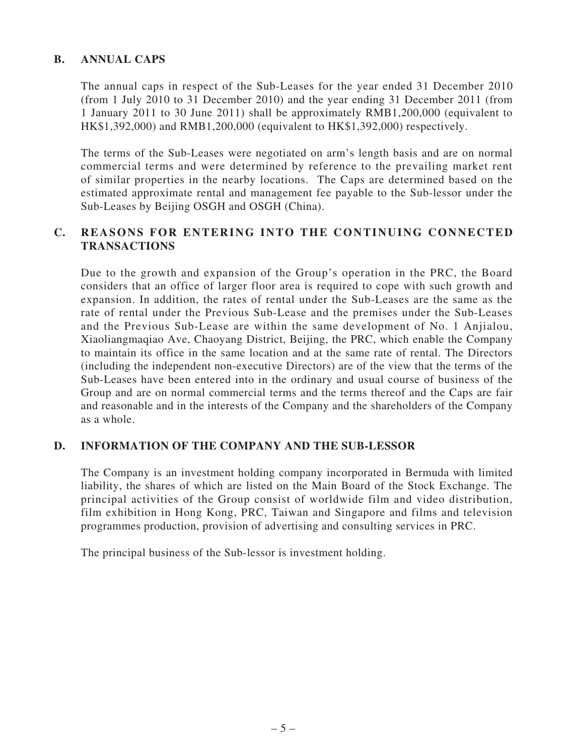#### **B. ANNUAL CAPS**

The annual caps in respect of the Sub-Leases for the year ended 31 December 2010 (from 1 July 2010 to 31 December 2010) and the year ending 31 December 2011 (from 1 January 2011 to 30 June 2011) shall be approximately RMB1,200,000 (equivalent to HK\$1,392,000) and RMB1,200,000 (equivalent to HK\$1,392,000) respectively.

The terms of the Sub-Leases were negotiated on arm's length basis and are on normal commercial terms and were determined by reference to the prevailing market rent of similar properties in the nearby locations. The Caps are determined based on the estimated approximate rental and management fee payable to the Sub-lessor under the Sub-Leases by Beijing OSGH and OSGH (China).

#### **C. REASONS FOR ENTERING INTO THE CONTINUING CONNECTED TRANSACTIONS**

Due to the growth and expansion of the Group's operation in the PRC, the Board considers that an office of larger floor area is required to cope with such growth and expansion. In addition, the rates of rental under the Sub-Leases are the same as the rate of rental under the Previous Sub-Lease and the premises under the Sub-Leases and the Previous Sub-Lease are within the same development of No. 1 Anjialou, Xiaoliangmaqiao Ave, Chaoyang District, Beijing, the PRC, which enable the Company to maintain its office in the same location and at the same rate of rental. The Directors (including the independent non-executive Directors) are of the view that the terms of the Sub-Leases have been entered into in the ordinary and usual course of business of the Group and are on normal commercial terms and the terms thereof and the Caps are fair and reasonable and in the interests of the Company and the shareholders of the Company as a whole.

#### **D. INFORMATION OF THE COMPANY AND THE SUB-LESSOR**

The Company is an investment holding company incorporated in Bermuda with limited liability, the shares of which are listed on the Main Board of the Stock Exchange. The principal activities of the Group consist of worldwide film and video distribution, film exhibition in Hong Kong, PRC, Taiwan and Singapore and films and television programmes production, provision of advertising and consulting services in PRC.

The principal business of the Sub-lessor is investment holding.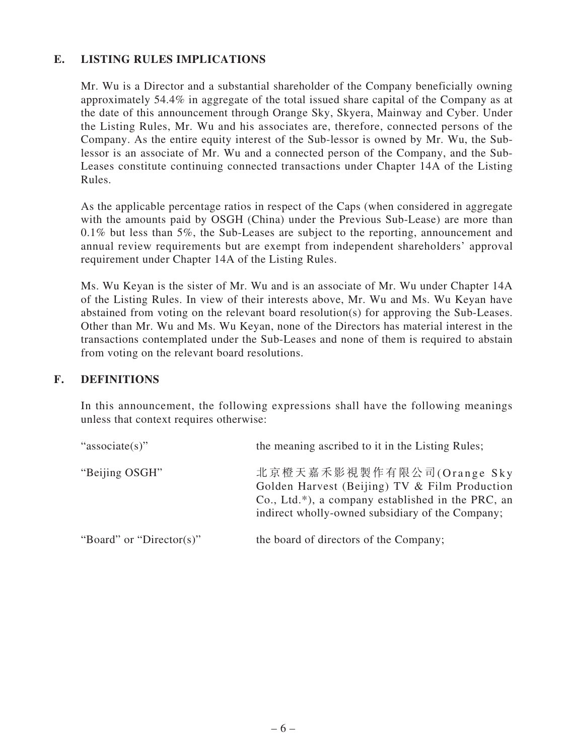### **E. LISTING RULES IMPLICATIONS**

Mr. Wu is a Director and a substantial shareholder of the Company beneficially owning approximately 54.4% in aggregate of the total issued share capital of the Company as at the date of this announcement through Orange Sky, Skyera, Mainway and Cyber. Under the Listing Rules, Mr. Wu and his associates are, therefore, connected persons of the Company. As the entire equity interest of the Sub-lessor is owned by Mr. Wu, the Sublessor is an associate of Mr. Wu and a connected person of the Company, and the Sub-Leases constitute continuing connected transactions under Chapter 14A of the Listing Rules.

As the applicable percentage ratios in respect of the Caps (when considered in aggregate with the amounts paid by OSGH (China) under the Previous Sub-Lease) are more than 0.1% but less than 5%, the Sub-Leases are subject to the reporting, announcement and annual review requirements but are exempt from independent shareholders' approval requirement under Chapter 14A of the Listing Rules.

Ms. Wu Keyan is the sister of Mr. Wu and is an associate of Mr. Wu under Chapter 14A of the Listing Rules. In view of their interests above, Mr. Wu and Ms. Wu Keyan have abstained from voting on the relevant board resolution(s) for approving the Sub-Leases. Other than Mr. Wu and Ms. Wu Keyan, none of the Directors has material interest in the transactions contemplated under the Sub-Leases and none of them is required to abstain from voting on the relevant board resolutions.

#### **F. DEFINITIONS**

In this announcement, the following expressions shall have the following meanings unless that context requires otherwise:

| "associate(s)"           | the meaning ascribed to it in the Listing Rules;                                                                                                                                       |
|--------------------------|----------------------------------------------------------------------------------------------------------------------------------------------------------------------------------------|
| "Beijing OSGH"           | 北京橙天嘉禾影視製作有限公司(Orange Sky<br>Golden Harvest (Beijing) TV & Film Production<br>$Co., Ltd.*$ ), a company established in the PRC, an<br>indirect wholly-owned subsidiary of the Company; |
| "Board" or "Director(s)" | the board of directors of the Company;                                                                                                                                                 |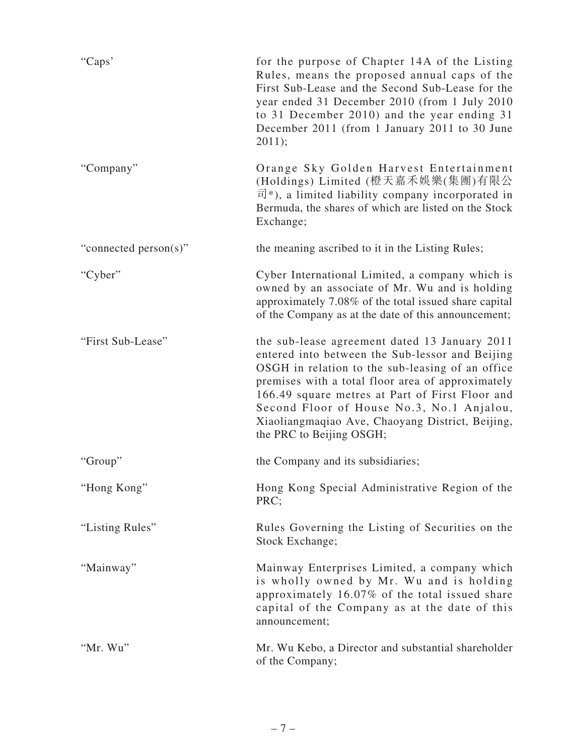| "Caps"                | for the purpose of Chapter 14A of the Listing<br>Rules, means the proposed annual caps of the<br>First Sub-Lease and the Second Sub-Lease for the<br>year ended 31 December 2010 (from 1 July 2010<br>to 31 December 2010) and the year ending 31<br>December 2011 (from 1 January 2011 to 30 June<br>2011);                                                                              |
|-----------------------|-------------------------------------------------------------------------------------------------------------------------------------------------------------------------------------------------------------------------------------------------------------------------------------------------------------------------------------------------------------------------------------------|
| "Company"             | Orange Sky Golden Harvest Entertainment<br>(Holdings) Limited (橙天嘉禾娛樂(集團)有限公<br>$\overline{\mathbb{H}}^*$ ), a limited liability company incorporated in<br>Bermuda, the shares of which are listed on the Stock<br>Exchange;                                                                                                                                                             |
| "connected person(s)" | the meaning ascribed to it in the Listing Rules;                                                                                                                                                                                                                                                                                                                                          |
| "Cyber"               | Cyber International Limited, a company which is<br>owned by an associate of Mr. Wu and is holding<br>approximately 7.08% of the total issued share capital<br>of the Company as at the date of this announcement;                                                                                                                                                                         |
| "First Sub-Lease"     | the sub-lease agreement dated 13 January 2011<br>entered into between the Sub-lessor and Beijing<br>OSGH in relation to the sub-leasing of an office<br>premises with a total floor area of approximately<br>166.49 square metres at Part of First Floor and<br>Second Floor of House No.3, No.1 Anjalou,<br>Xiaoliangmaqiao Ave, Chaoyang District, Beijing,<br>the PRC to Beijing OSGH; |
| "Group"               | the Company and its subsidiaries;                                                                                                                                                                                                                                                                                                                                                         |
| "Hong Kong"           | Hong Kong Special Administrative Region of the<br>PRC;                                                                                                                                                                                                                                                                                                                                    |
| "Listing Rules"       | Rules Governing the Listing of Securities on the<br>Stock Exchange;                                                                                                                                                                                                                                                                                                                       |
| "Mainway"             | Mainway Enterprises Limited, a company which<br>is wholly owned by Mr. Wu and is holding<br>approximately 16.07% of the total issued share<br>capital of the Company as at the date of this<br>announcement;                                                                                                                                                                              |
| "Mr. Wu"              | Mr. Wu Kebo, a Director and substantial shareholder<br>of the Company;                                                                                                                                                                                                                                                                                                                    |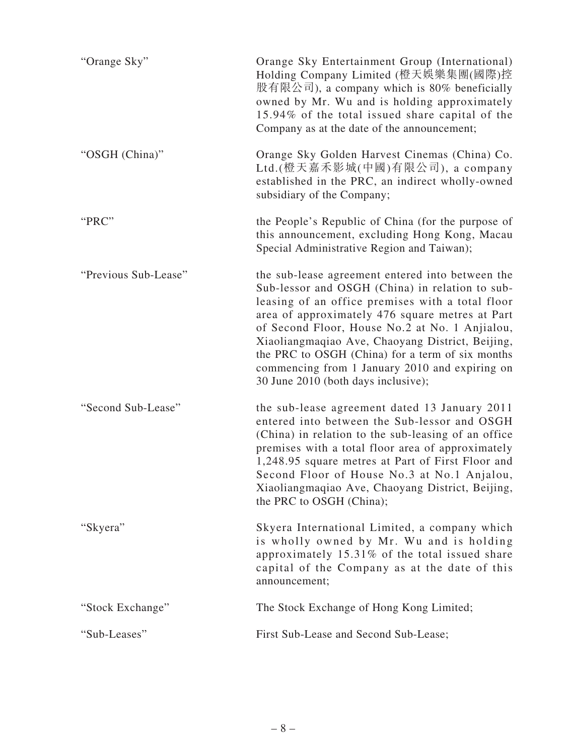| "Orange Sky"         | Orange Sky Entertainment Group (International)<br>Holding Company Limited (橙天娛樂集團(國際)控<br>股有限公司), a company which is 80% beneficially<br>owned by Mr. Wu and is holding approximately<br>15.94% of the total issued share capital of the<br>Company as at the date of the announcement;                                                                                                                                                                       |
|----------------------|---------------------------------------------------------------------------------------------------------------------------------------------------------------------------------------------------------------------------------------------------------------------------------------------------------------------------------------------------------------------------------------------------------------------------------------------------------------|
| "OSGH (China)"       | Orange Sky Golden Harvest Cinemas (China) Co.<br>Ltd.(橙天嘉禾影城(中國)有限公司), a company<br>established in the PRC, an indirect wholly-owned<br>subsidiary of the Company;                                                                                                                                                                                                                                                                                            |
| "PRC"                | the People's Republic of China (for the purpose of<br>this announcement, excluding Hong Kong, Macau<br>Special Administrative Region and Taiwan);                                                                                                                                                                                                                                                                                                             |
| "Previous Sub-Lease" | the sub-lease agreement entered into between the<br>Sub-lessor and OSGH (China) in relation to sub-<br>leasing of an office premises with a total floor<br>area of approximately 476 square metres at Part<br>of Second Floor, House No.2 at No. 1 Anjialou,<br>Xiaoliangmaqiao Ave, Chaoyang District, Beijing,<br>the PRC to OSGH (China) for a term of six months<br>commencing from 1 January 2010 and expiring on<br>30 June 2010 (both days inclusive); |
| "Second Sub-Lease"   | the sub-lease agreement dated 13 January 2011<br>entered into between the Sub-lessor and OSGH<br>(China) in relation to the sub-leasing of an office<br>premises with a total floor area of approximately<br>1,248.95 square metres at Part of First Floor and<br>Second Floor of House No.3 at No.1 Anjalou,<br>Xiaoliangmaqiao Ave, Chaoyang District, Beijing,<br>the PRC to OSGH (China);                                                                 |
| "Skyera"             | Skyera International Limited, a company which<br>is wholly owned by Mr. Wu and is holding<br>approximately 15.31% of the total issued share<br>capital of the Company as at the date of this<br>announcement;                                                                                                                                                                                                                                                 |
| "Stock Exchange"     | The Stock Exchange of Hong Kong Limited;                                                                                                                                                                                                                                                                                                                                                                                                                      |
| "Sub-Leases"         | First Sub-Lease and Second Sub-Lease;                                                                                                                                                                                                                                                                                                                                                                                                                         |